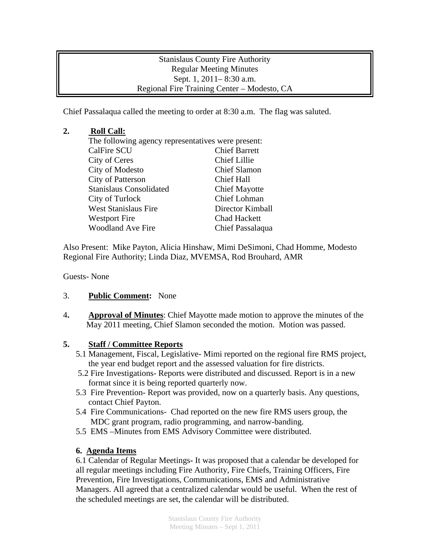Stanislaus County Fire Authority Regular Meeting Minutes Sept. 1, 2011– 8:30 a.m. Regional Fire Training Center – Modesto, CA

Chief Passalaqua called the meeting to order at 8:30 a.m. The flag was saluted.

## **2. Roll Call:**

The following agency representatives were present: CalFire SCU Chief Barrett City of Ceres Chief Lillie City of Modesto Chief Slamon City of Patterson Chief Hall Stanislaus Consolidated Chief Mayotte City of Turlock Chief Lohman West Stanislaus Fire Director Kimball Westport Fire Chad Hackett Woodland Ave Fire Chief Passalaqua

Also Present: Mike Payton, Alicia Hinshaw, Mimi DeSimoni, Chad Homme, Modesto Regional Fire Authority; Linda Diaz, MVEMSA, Rod Brouhard, AMR

Guests- None

- 3. **Public Comment:** None
- 4**. Approval of Minutes**: Chief Mayotte made motion to approve the minutes of the May 2011 meeting, Chief Slamon seconded the motion. Motion was passed.

## **5. Staff / Committee Reports**

- 5.1 Management, Fiscal, Legislative- Mimi reported on the regional fire RMS project, the year end budget report and the assessed valuation for fire districts.
- 5.2 Fire Investigations- Reports were distributed and discussed. Report is in a new format since it is being reported quarterly now.
- 5.3 Fire Prevention- Report was provided, now on a quarterly basis. Any questions, contact Chief Payton.
- 5.4 Fire Communications- Chad reported on the new fire RMS users group, the MDC grant program, radio programming, and narrow-banding.
- 5.5 EMS –Minutes from EMS Advisory Committee were distributed.

## **6. Agenda Items**

6.1 Calendar of Regular Meetings**-** It was proposed that a calendar be developed for all regular meetings including Fire Authority, Fire Chiefs, Training Officers, Fire Prevention, Fire Investigations, Communications, EMS and Administrative Managers. All agreed that a centralized calendar would be useful. When the rest of the scheduled meetings are set, the calendar will be distributed.